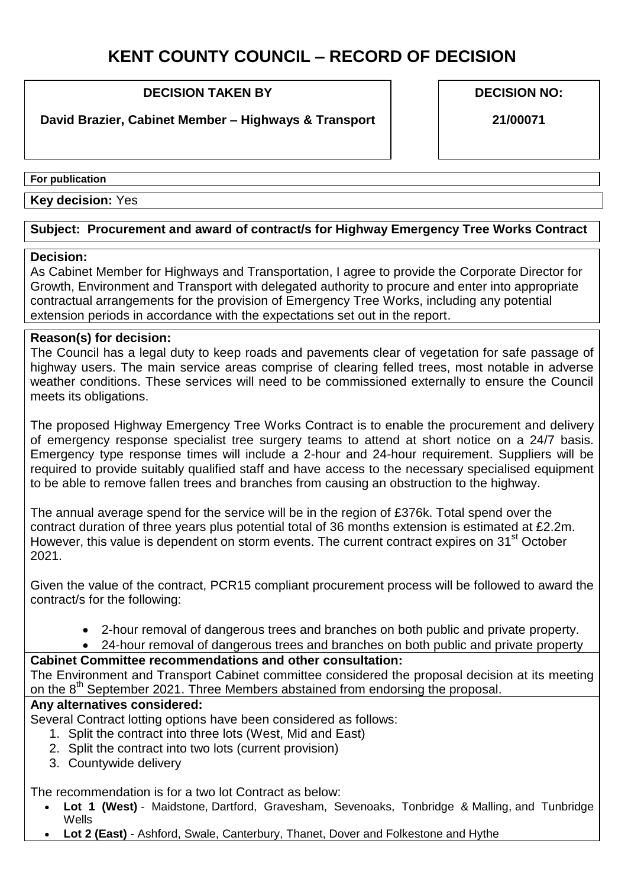# **KENT COUNTY COUNCIL – RECORD OF DECISION**

### **DECISION TAKEN BY**

## **David Brazier, Cabinet Member – Highways & Transport**

**DECISION NO:**

**21/00071**

**For publication** 

**Key decision:** Yes

### **Subject: Procurement and award of contract/s for Highway Emergency Tree Works Contract**

#### **Decision:**

As Cabinet Member for Highways and Transportation, I agree to provide the Corporate Director for Growth, Environment and Transport with delegated authority to procure and enter into appropriate contractual arrangements for the provision of Emergency Tree Works, including any potential extension periods in accordance with the expectations set out in the report.

#### **Reason(s) for decision:**

The Council has a legal duty to keep roads and pavements clear of vegetation for safe passage of highway users. The main service areas comprise of clearing felled trees, most notable in adverse weather conditions. These services will need to be commissioned externally to ensure the Council meets its obligations.

The proposed Highway Emergency Tree Works Contract is to enable the procurement and delivery of emergency response specialist tree surgery teams to attend at short notice on a 24/7 basis. Emergency type response times will include a 2-hour and 24-hour requirement. Suppliers will be required to provide suitably qualified staff and have access to the necessary specialised equipment to be able to remove fallen trees and branches from causing an obstruction to the highway.

The annual average spend for the service will be in the region of £376k. Total spend over the contract duration of three years plus potential total of 36 months extension is estimated at £2.2m. However, this value is dependent on storm events. The current contract expires on 31<sup>st</sup> October 2021.

Given the value of the contract, PCR15 compliant procurement process will be followed to award the contract/s for the following:

- 2-hour removal of dangerous trees and branches on both public and private property.
- 24-hour removal of dangerous trees and branches on both public and private property

# **Cabinet Committee recommendations and other consultation:**

The Environment and Transport Cabinet committee considered the proposal decision at its meeting on the 8<sup>th</sup> September 2021. Three Members abstained from endorsing the proposal.

# **Any alternatives considered:**

Several Contract lotting options have been considered as follows:

- 1. Split the contract into three lots (West, Mid and East)
- 2. Split the contract into two lots (current provision)
- 3. Countywide delivery

The recommendation is for a two lot Contract as below:

- **Lot 1 (West)** Maidstone, Dartford, Gravesham, Sevenoaks, Tonbridge & Malling, and Tunbridge Wells
- **Lot 2 (East)** Ashford, Swale, Canterbury, Thanet, Dover and Folkestone and Hythe